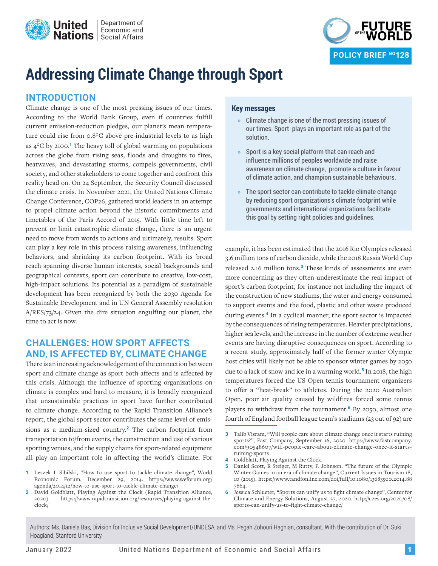



# **Addressing Climate Change through Sport**

# **INTRODUCTION**

Climate change is one of the most pressing issues of our times. According to the World Bank Group, even if countries fulfill current emission-reduction pledges, our planet's mean temperature could rise from 0.8°C above pre-industrial levels to as high as 4°C by 2100.**<sup>1</sup>** The heavy toll of global warming on populations across the globe from rising seas, floods and droughts to fires, heatwaves, and devastating storms, compels governments, civil society, and other stakeholders to come together and confront this reality head on. On 24 September, the Security Council discussed the climate crisis. In November 2021, the United Nations Climate Change Conference, COP26, gathered world leaders in an attempt to propel climate action beyond the historic commitments and timetables of the Paris Accord of 2015. With little time left to prevent or limit catastrophic climate change, there is an urgent need to move from words to actions and ultimately, results. Sport can play a key role in this process raising awareness, influencing behaviors, and shrinking its carbon footprint. With its broad reach spanning diverse human interests, social backgrounds and geographical contexts, sport can contribute to creative, low-cost, high-impact solutions. Its potential as a paradigm of sustainable development has been recognized by both the 2030 Agenda for Sustainable Development and in UN General Assembly resolution A/RES/73/24. Given the dire situation engulfing our planet, the time to act is now.

# **CHALLENGES: HOW SPORT AFFECTS AND, IS AFFECTED BY, CLIMATE CHANGE**

There is an increasing acknowledgement of the connection between sport and climate change as sport both affects and is affected by this crisis. Although the influence of sporting organizations on climate is complex and hard to measure, it is broadly recognized that unsustainable practices in sport have further contributed to climate change. According to the Rapid Transition Alliance's report, the global sport sector contributes the same level of emissions as a medium-sized country.**<sup>2</sup>** The carbon footprint from transportation to/from events, the construction and use of various sporting venues, and the supply chains for sport-related equipment all play an important role in affecting the world's climate. For

#### **Key messages**

- **»** Climate change is one of the most pressing issues of our times. Sport plays an important role as part of the solution.
- **»** Sport is a key social platform that can reach and influence millions of peoples worldwide and raise awareness on climate change, promote a culture in favour of climate action, and champion sustainable behaviours.
- **»** The sport sector can contribute to tackle climate change by reducing sport organizations's climate footprint while governments and international organizations facilitate this goal by setting right policies and guidelines.

example, it has been estimated that the 2016 Rio Olympics released 3.6 million tons of carbon dioxide, while the 2018 Russia World Cup released 2.16 million tons.**<sup>3</sup>** These kinds of assessments are even more concerning as they often underestimate the real impact of sport's carbon footprint, for instance not including the impact of the construction of new stadiums, the water and energy consumed to support events and the food, plastic and other waste produced during events.**<sup>4</sup>** In a cyclical manner, the sport sector is impacted by the consequences of rising temperatures. Heavier precipitations, higher sea levels, and the increase in the number of extreme weather events are having disruptive consequences on sport. According to a recent study, approximately half of the former winter Olympic host cities will likely not be able to sponsor winter games by 2050 due to a lack of snow and ice in a warming world.**<sup>5</sup>** In 2018, the high temperatures forced the US Open tennis tournament organizers to offer a "heat-break" to athletes. During the 2020 Australian Open, poor air quality caused by wildfires forced some tennis players to withdraw from the tournament.**<sup>6</sup>** By 2050, almost one fourth of England football league team's stadiums (23 out of 92) are

- **4** Goldblatt, Playing Against the Clock.
- **5** Daniel Scott, R Steiger, M Rutty, P. Johnson, "The future of the Olympic Winter Games in an era of climate change", Current Issues in Tourism 18, 10 (2015). [https://www.tandfonline.com/doi/full/10.1080/13683500.2014.88](https://www.tandfonline.com/doi/full/10.1080/13683500.2014.887664.) [7664.](https://www.tandfonline.com/doi/full/10.1080/13683500.2014.887664.)
- **6** Jessica Schlueter, "Sports can unify us to fight climate change", Center for Climate and Energy Solutions, August 27, 2020. [http://c2es.org/2020/08/](http://c2es.org/2020/08/sports-can-unify-us-to-fight-climate-change/) [sports-can-unify-us-to-fight-climate-change/](http://c2es.org/2020/08/sports-can-unify-us-to-fight-climate-change/)

Authors: Ms. Daniela Bas, Division for Inclusive Social Development/UNDESA, and Ms. Pegah Zohouri Haghian, consultant. With the contribution of Dr. Suki Hoagland, Stanford University.

**<sup>1</sup>** Leszek J. Sibilski, "How to use sport to tackle climate change", World Economic Forum, December 29, 2014. [https://www.weforum.org/](https://www.weforum.org/agenda/2014/12/how-to-use-sport-to-tackle-climate-change/) [agenda/2014/12/how-to-use-sport-to-tackle-climate-change/](https://www.weforum.org/agenda/2014/12/how-to-use-sport-to-tackle-climate-change/)

**<sup>2</sup>** David Goldblatt, Playing Against the Clock (Rapid Transition Alliance, 2020) [https://www.rapidtransition.org/resources/playing-against-the](https://www.rapidtransition.org/resources/playing-against-the-clock/)[clock/](https://www.rapidtransition.org/resources/playing-against-the-clock/)

**<sup>3</sup>** Talib Visram, "Will people care about climate change once it starts ruining sports?", Fast Company, September 16, 2020. [https://www.fastcompany.](https://www.fastcompany.com/90548607/will-people-care-about-climate-change-once-it-starts-ruining-sp) [com/90548607/will-people-care-about-climate-change-once-it-starts](https://www.fastcompany.com/90548607/will-people-care-about-climate-change-once-it-starts-ruining-sp)[ruining-sports](https://www.fastcompany.com/90548607/will-people-care-about-climate-change-once-it-starts-ruining-sp)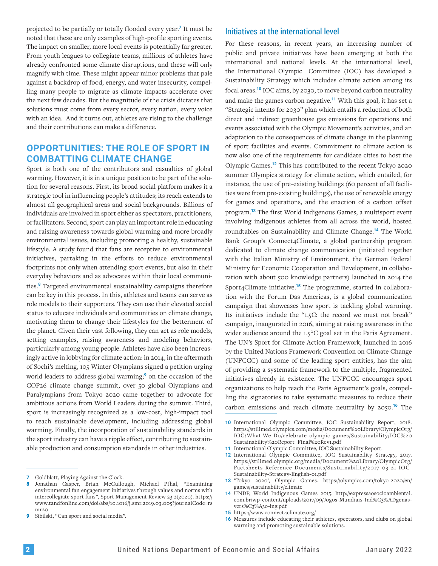projected to be partially or totally flooded every year.**<sup>7</sup>** It must be noted that these are only examples of high-profile sporting events. The impact on smaller, more local events is potentially far greater. From youth leagues to collegiate teams, millions of athletes have already confronted some climate disruptions, and these will only magnify with time. These might appear minor problems that pale against a backdrop of food, energy, and water insecurity, compelling many people to migrate as climate impacts accelerate over the next few decades. But the magnitude of the crisis dictates that solutions must come from every sector, every nation, every voice with an idea. And it turns out, athletes are rising to the challenge and their contributions can make a difference.

# **OPPORTUNITIES: THE ROLE OF SPORT IN COMBATTING CLIMATE CHANGE**

Sport is both one of the contributors and casualties of global warming. However, it is in a unique position to be part of the solution for several reasons. First, its broad social platform makes it a strategic tool in influencing people's attitudes; its reach extends to almost all geographical areas and social backgrounds. Billions of individuals are involved in sport either as spectators, practitioners, or facilitators. Second, sport can play an important role in educating and raising awareness towards global warming and more broadly environmental issues, including promoting a healthy, sustainable lifestyle. A study found that fans are receptive to environmental initiatives, partaking in the efforts to reduce environmental footprints not only when attending sport events, but also in their everyday behaviors and as advocates within their local communities.**<sup>8</sup>** Targeted environmental sustainability campaigns therefore can be key in this process. In this, athletes and teams can serve as role models to their supporters. They can use their elevated social status to educate individuals and communities on climate change, motivating them to change their lifestyles for the betterment of the planet. Given their vast following, they can act as role models, setting examples, raising awareness and modeling behaviors, particularly among young people. Athletes have also been increasingly active in lobbying for climate action: in 2014, in the aftermath of Sochi's melting, 105 Winter Olympians signed a petition urging world leaders to address global warming;**<sup>9</sup>** on the occasion of the COP26 climate change summit, over 50 global Olympians and Paralympians from Tokyo 2020 came together to advocate for ambitious actions from World Leaders during the summit. Third, sport is increasingly recognized as a low-cost, high-impact tool to reach sustainable development, including addressing global warming. Finally, the incorporation of sustainability standards in the sport industry can have a ripple effect, contributing to sustainable production and consumption standards in other industries.

#### Initiatives at the international level

For these reasons, in recent years, an increasing number of public and private initiatives have been emerging at both the international and national levels. At the international level, the International Olympic Committee (IOC) has developed a Sustainability Strategy which includes climate action among its focal areas.**<sup>10</sup>** IOC aims, by 2030, to move beyond carbon neutrality and make the games carbon negative.**<sup>11</sup>** With this goal, it has set a "Strategic intents for 2030" plan which entails a reduction of both direct and indirect greenhouse gas emissions for operations and events associated with the Olympic Movement's activities, and an adaptation to the consequences of climate change in the planning of sport facilities and events. Commitment to climate action is now also one of the requirements for candidate cities to host the Olympic Games.**<sup>12</sup>** This has contributed to the recent Tokyo 2020 summer Olympics strategy for climate action, which entailed, for instance, the use of pre-existing buildings (60 percent of all facilities were from pre-existing buildings), the use of renewable energy for games and operations, and the enaction of a carbon offset program.**<sup>13</sup>** The first World Indigenous Games, a multisport event involving indigenous athletes from all across the world, hosted roundtables on Sustainability and Climate Change.**<sup>14</sup>** The World Bank Group's Connect4Climate, a global partnership program dedicated to climate change communication (initiated together with the Italian Ministry of Environment, the German Federal Ministry for Economic Cooperation and Development, in collaboration with about 500 knowledge partners) launched in 2014 the Sport4Climate initiative.**15** The programme, started in collaboration with the Forum Das Americas, is a global communication campaign that showcases how sport is tackling global warming. Its initiatives include the "1.5C: the record we must not break" campaign, inaugurated in 2016, aiming at raising awareness in the wider audience around the 1.5°C goal set in the Paris Agreement. The UN's Sport for Climate Action Framework, launched in 2016 by the United Nations Framework Convention on Climate Change (UNFCCC) and some of the leading sport entities, has the aim of providing a systematic framework to the multiple, fragmented initiatives already in existence. The UNFCCC encourages sport organizations to help reach the Paris Agreement's goals, compelling the signatories to take systematic measures to reduce their carbon emissions and reach climate neutrality by 2050.**<sup>16</sup>** The

- **12** International Olympic Committee, IOC Sustainability Strategy, 2017. [https://stillmed.olympic.org/media/Document%20Library/OlympicOrg/](https://stillmed.olympic.org/media/Document%20Library/OlympicOrg/Factsheets-Reference-Documents/Sust) [Factsheets-Reference-Documents/Sustainability/2017-03-21-IOC-](https://stillmed.olympic.org/media/Document%20Library/OlympicOrg/Factsheets-Reference-Documents/Sust)[Sustainability-Strategy-English-01.pdf](https://stillmed.olympic.org/media/Document%20Library/OlympicOrg/Factsheets-Reference-Documents/Sust)
- **13** 'Tokyo 2020', Olympic Games. [https://olympics.com/tokyo-2020/en/](https://olympics.com/tokyo-2020/en/games/sustainability/climate) [games/sustainability/climate](https://olympics.com/tokyo-2020/en/games/sustainability/climate)
- **14** UNDP, World Indigenous Games 2015. [http://expressaosocioambiental.](http://expressaosocioambiental.com.br/wp-content/uploads/2017/09/Jogos-Mundiais-Ind%C3%ADgenas-vers%) [com.br/wp-content/uploads/2017/09/Jogos-Mundiais-Ind%C3%ADgenas](http://expressaosocioambiental.com.br/wp-content/uploads/2017/09/Jogos-Mundiais-Ind%C3%ADgenas-vers%)[vers%C3%A3o-ing.pdf](http://expressaosocioambiental.com.br/wp-content/uploads/2017/09/Jogos-Mundiais-Ind%C3%ADgenas-vers%)
- 15 <https://www.connect4climate.org/>
- **16** Measures include educating their athletes, spectators, and clubs on global warming and promoting sustainable solutions.

**<sup>7</sup>** Goldblatt, Playing Against the Clock.

**<sup>8</sup>** Jonathan Casper, Brian McCullough, Michael Pfhal, "Examining environmental fan engagement initiatives through values and norms with intercollegiate sport fans", Sport Management Review 23 2(2020). [https://](https://www.tandfonline.com/doi/abs/10.1016/j.smr.2019.03.005?journalCode=rsmr20) [www.tandfonline.com/doi/abs/10.1016/j.smr.2019.03.005?journalCode=rs](https://www.tandfonline.com/doi/abs/10.1016/j.smr.2019.03.005?journalCode=rsmr20)  $mr20$ 

**<sup>9</sup>** Sibilski, "Can sport and social media".

**<sup>10</sup>** International Olympic Committee, IOC Sustainability Report, 2018. [https://stillmed.olympics.com/media/Document%20Library/OlympicOrg/](https://stillmed.olympics.com/media/Document%20Library/OlympicOrg/IOC/What-We-Do/celebrate-olympic-g) [IOC/What-We-Do/celebrate-olympic-games/Sustainability/IOC%20](https://stillmed.olympics.com/media/Document%20Library/OlympicOrg/IOC/What-We-Do/celebrate-olympic-g) [Sustainability%20Report\\_Final%20Rev1.pdf](https://stillmed.olympics.com/media/Document%20Library/OlympicOrg/IOC/What-We-Do/celebrate-olympic-g)

**<sup>11</sup>** International Olympic Committee, IOC Sustainability Report.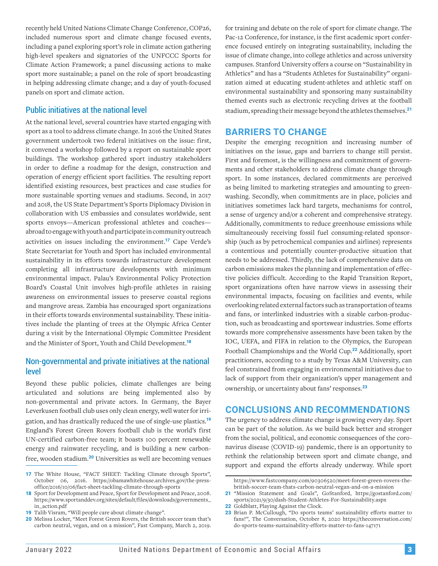recently held United Nations Climate Change Conference, COP26, included numerous sport and climate change focused events, including a panel exploring sport's role in climate action gathering high-level speakers and signatories of the UNFCCC Sports for Climate Action Framework; a panel discussing actions to make sport more sustainable; a panel on the role of sport broadcasting in helping addressing climate change; and a day of youth-focused panels on sport and climate action.

#### Public initiatives at the national level

At the national level, several countries have started engaging with sport as a tool to address climate change. In 2016 the United States government undertook two federal initiatives on the issue: first, it convened a workshop followed by a report on sustainable sport buildings. The workshop gathered sport industry stakeholders in order to define a roadmap for the design, construction and operation of energy efficient sport facilities. The resulting report identified existing resources, best practices and case studies for more sustainable sporting venues and stadiums. Second, in 2017 and 2018, the US State Department's Sports Diplomacy Division in collaboration with US embassies and consulates worldwide, sent sports envoys—American professional athletes and coaches abroad to engage with youth and participate in community outreach activities on issues including the environment.**<sup>17</sup>** Cape Verde's State Secretariat for Youth and Sport has included environmental sustainability in its efforts towards infrastructure development completing all infrastructure developments with minimum environmental impact. Palau's Environmental Policy Protection Board's Coastal Unit involves high-profile athletes in raising awareness on environmental issues to preserve coastal regions and mangrove areas. Zambia has encouraged sport organizations in their efforts towards environmental sustainability. These initiatives include the planting of trees at the Olympic Africa Center during a visit by the International Olympic Committee President and the Minister of Sport, Youth and Child Development.**<sup>18</sup>**

#### Non-governmental and private initiatives at the national level

Beyond these public policies, climate challenges are being articulated and solutions are being implemented also by non-governmental and private actors. In Germany, the Bayer Leverkusen football club uses only clean energy, well water for irrigation, and has drastically reduced the use of single-use plastics.**<sup>19</sup>** England's Forest Green Rovers football club is the world's first UN-certified carbon-free team; it boasts 100 percent renewable energy and rainwater recycling, and is building a new carbonfree, wooden stadium.**<sup>20</sup>** Universities as well are becoming venues

for training and debate on the role of sport for climate change. The Pac-12 Conference, for instance, is the first academic sport conference focused entirely on integrating sustainability, including the issue of climate change, into college athletics and across university campuses. Stanford University offers a course on "Sustainability in Athletics" and has a "Students Athletes for Sustainability" organization aimed at educating student-athletes and athletic staff on environmental sustainability and sponsoring many sustainability themed events such as electronic recycling drives at the football stadium, spreading their message beyond the athletes themselves.**<sup>21</sup>**

## **BARRIERS TO CHANGE**

Despite the emerging recognition and increasing number of initiatives on the issue, gaps and barriers to change still persist. First and foremost, is the willingness and commitment of governments and other stakeholders to address climate change through sport. In some instances, declared commitments are perceived as being limited to marketing strategies and amounting to greenwashing. Secondly, when commitments are in place, policies and initiatives sometimes lack hard targets, mechanisms for control, a sense of urgency and/or a coherent and comprehensive strategy. Additionally, commitments to reduce greenhouse emissions while simultaneously receiving fossil fuel consuming-related sponsorship (such as by petrochemical companies and airlines) represents a contentious and potentially counter-productive situation that needs to be addressed. Thirdly, the lack of comprehensive data on carbon emissions makes the planning and implementation of effective policies difficult. According to the Rapid Transition Report, sport organizations often have narrow views in assessing their environmental impacts, focusing on facilities and events, while overlooking related external factors such as transportation of teams and fans, or interlinked industries with a sizable carbon-production, such as broadcasting and sportswear industries. Some efforts towards more comprehensive assessments have been taken by the IOC, UEFA, and FIFA in relation to the Olympics, the European Football Championships and the World Cup.**<sup>22</sup>** Additionally, sport practitioners, according to a study by Texas A&M University, can feel constrained from engaging in environmental initiatives due to lack of support from their organization's upper management and ownership, or uncertainty about fans' responses.**<sup>23</sup>**

### **CONCLUSIONS AND RECOMMENDATIONS**

The urgency to address climate change is growing every day. Sport can be part of the solution. As we build back better and stronger from the social, political, and economic consequences of the coronavirus disease (COVID-19) pandemic, there is an opportunity to rethink the relationship between sport and climate change, and support and expand the efforts already underway. While sport

**22** Goldblatt, Playing Against the Clock.

<sup>17</sup> The White House, "FACT SHEET: Tackling Climate through Sports", October 06, 2016. [https://obamawhitehouse.archives.gov/the-press](https://obamawhitehouse.archives.gov/the-press-office/2016/10/06/fact-sheet-tackling-climate-through)[office/2016/10/06/fact-sheet-tackling-climate-through-sports](https://obamawhitehouse.archives.gov/the-press-office/2016/10/06/fact-sheet-tackling-climate-through)

**<sup>18</sup>** Sport for Development and Peace, Sport for Development and Peace, 2008. [https://www.sportanddev.org/sites/default/files/downloads/governments\\_](https://www.sportanddev.org/sites/default/files/downloads/governments_in_action.pdf) [in\\_action.pdf](https://www.sportanddev.org/sites/default/files/downloads/governments_in_action.pdf)

**<sup>19</sup>** Talib Visram, "Will people care about climate change".

**<sup>20</sup>** Melissa Locker, "Meet Forest Green Rovers, the British soccer team that's carbon neutral, vegan, and on a mission", Fast Company, March 2, 2019.

[https://www.fastcompany.com/90306520/meet-forest-green-rovers-the](https://www.fastcompany.com/90306520/meet-forest-green-rovers-the-british-soccer-team-thats-carbon-n)[british-soccer-team-thats-carbon-neutral-vegan-and-on-a-mission](https://www.fastcompany.com/90306520/meet-forest-green-rovers-the-british-soccer-team-thats-carbon-n)

**<sup>21</sup>** "Mission Statement and Goals", GoStanford, [https://gostanford.com/](https://gostanford.com/sports/2021/9/30/dash-Student-Athletes-For-Sustainability.aspx) [sports/2021/9/30/dash-Student-Athletes-For-Sustainability.aspx](https://gostanford.com/sports/2021/9/30/dash-Student-Athletes-For-Sustainability.aspx)

**<sup>23</sup>** Brian P. McCullough, "Do sports teams' sustainability efforts matter to fans?", The Conversation, October 8, 2020 [https://theconversation.com/](https://theconversation.com/do-sports-teams-sustainability-efforts-matter-to-fans-147171) [do-sports-teams-sustainability-efforts-matter-to-fans-147171](https://theconversation.com/do-sports-teams-sustainability-efforts-matter-to-fans-147171)